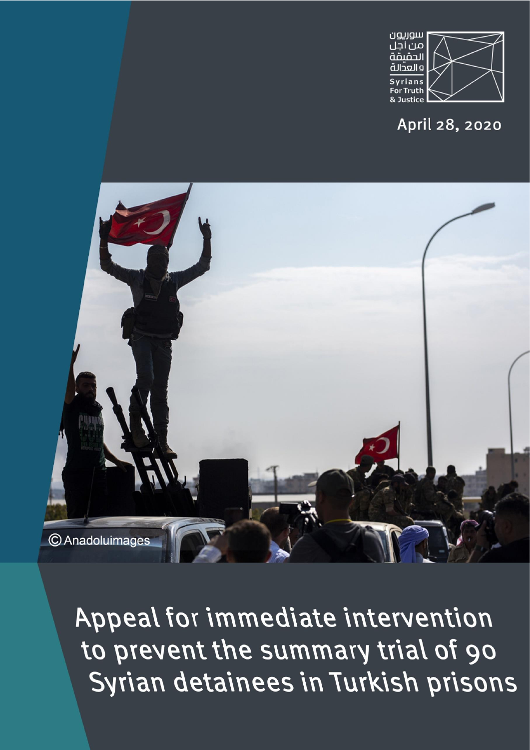

April 28, 2020



Appeal for immediate intervention to prevent the summary trial of 90 Syrian detainees in Turkish prisons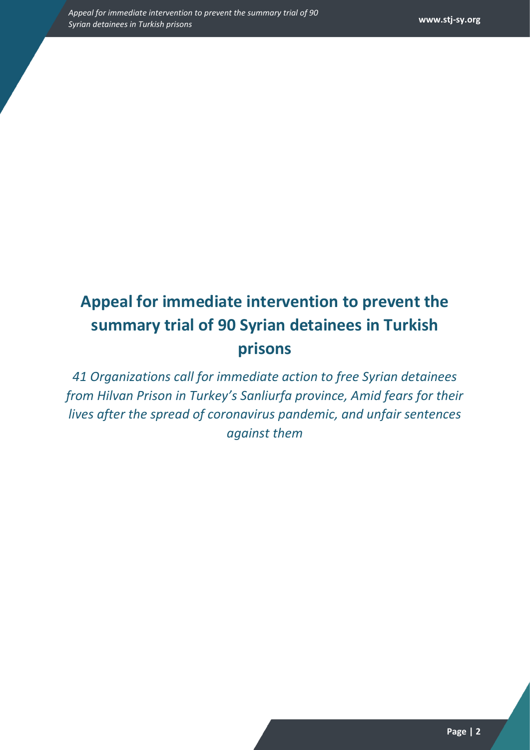## **Appeal for immediate intervention to prevent the summary trial of 90 Syrian detainees in Turkish prisons**

*41 Organizations call for immediate action to free Syrian detainees from Hilvan Prison in Turkey's Sanliurfa province, Amid fears for their lives after the spread of coronavirus pandemic, and unfair sentences against them*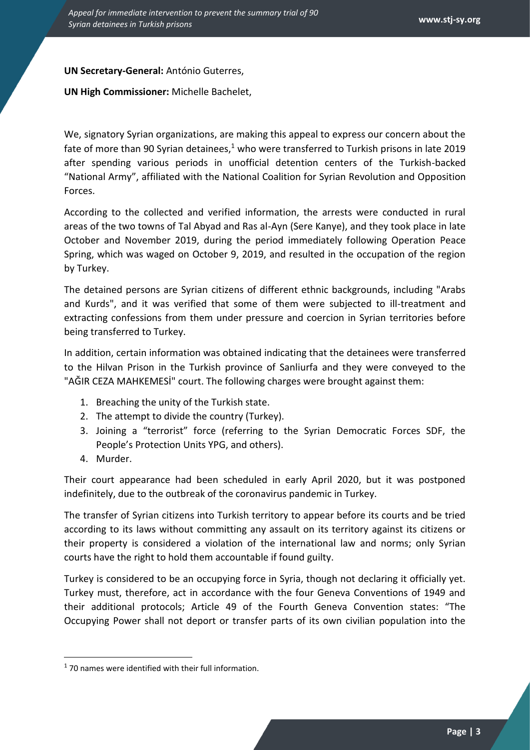## **UN Secretary-General:** António Guterres,

**UN High Commissioner:** Michelle Bachelet,

We, signatory Syrian organizations, are making this appeal to express our concern about the fate of more than 90 Syrian detainees, $1$  who were transferred to Turkish prisons in late 2019 after spending various periods in unofficial detention centers of the Turkish-backed "National Army", affiliated with the National Coalition for Syrian Revolution and Opposition Forces.

According to the collected and verified information, the arrests were conducted in rural areas of the two towns of Tal Abyad and Ras al-Ayn (Sere Kanye), and they took place in late October and November 2019, during the period immediately following Operation Peace Spring, which was waged on October 9, 2019, and resulted in the occupation of the region by Turkey.

The detained persons are Syrian citizens of different ethnic backgrounds, including "Arabs and Kurds", and it was verified that some of them were subjected to ill-treatment and extracting confessions from them under pressure and coercion in Syrian territories before being transferred to Turkey.

In addition, certain information was obtained indicating that the detainees were transferred to the Hilvan Prison in the Turkish province of Sanliurfa and they were conveyed to the "AĞIR CEZA MAHKEMESİ" court. The following charges were brought against them:

- 1. Breaching the unity of the Turkish state.
- 2. The attempt to divide the country (Turkey).
- 3. Joining a "terrorist" force (referring to the Syrian Democratic Forces SDF, the People's Protection Units YPG, and others).
- 4. Murder.

Their court appearance had been scheduled in early April 2020, but it was postponed indefinitely, due to the outbreak of the coronavirus pandemic in Turkey.

The transfer of Syrian citizens into Turkish territory to appear before its courts and be tried according to its laws without committing any assault on its territory against its citizens or their property is considered a violation of the international law and norms; only Syrian courts have the right to hold them accountable if found guilty.

Turkey is considered to be an occupying force in Syria, though not declaring it officially yet. Turkey must, therefore, act in accordance with the four Geneva Conventions of 1949 and their additional protocols; Article 49 of the Fourth Geneva Convention states: "The Occupying Power shall not deport or transfer parts of its own civilian population into the

<sup>&</sup>lt;sup>1</sup> 70 names were identified with their full information.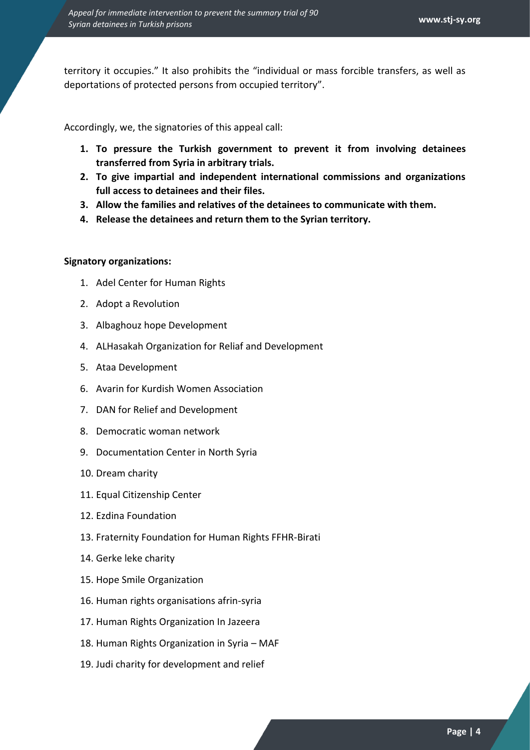territory it occupies." It also prohibits the "individual or mass forcible transfers, as well as deportations of protected persons from occupied territory".

Accordingly, we, the signatories of this appeal call:

- **1. To pressure the Turkish government to prevent it from involving detainees transferred from Syria in arbitrary trials.**
- **2. To give impartial and independent international commissions and organizations full access to detainees and their files.**
- **3. Allow the families and relatives of the detainees to communicate with them.**
- **4. Release the detainees and return them to the Syrian territory.**

## **Signatory organizations:**

- 1. Adel Center for Human Rights
- 2. Adopt a Revolution
- 3. Albaghouz hope Development
- 4. ALHasakah Organization for Reliaf and Development
- 5. Ataa Development
- 6. Avarin for Kurdish Women Association
- 7. DAN for Relief and Development
- 8. Democratic woman network
- 9. Documentation Center in North Syria
- 10. Dream charity
- 11. Equal Citizenship Center
- 12. Ezdina Foundation
- 13. Fraternity Foundation for Human Rights FFHR-Birati
- 14. Gerke leke charity
- 15. Hope Smile Organization
- 16. Human rights organisations afrin-syria
- 17. Human Rights Organization In Jazeera
- 18. Human Rights Organization in Syria MAF
- 19. Judi charity for development and relief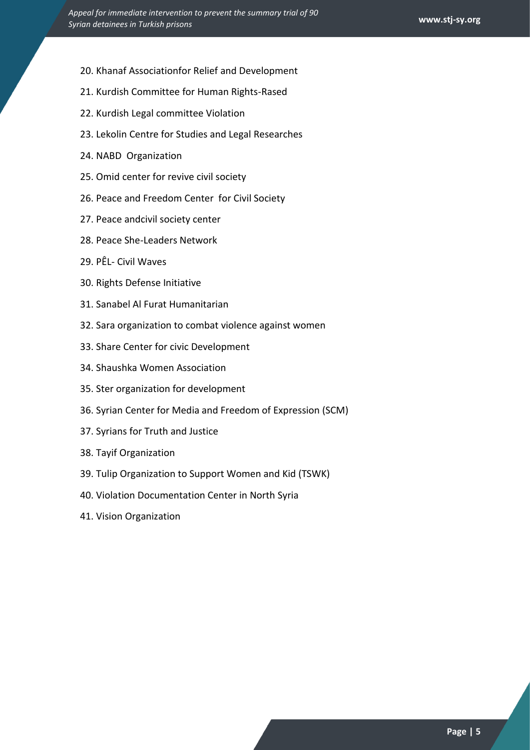- 20. Khanaf Associationfor Relief and Development
- 21. Kurdish Committee for Human Rights-Rased
- 22. Kurdish Legal committee Violation
- 23. Lekolin Centre for Studies and Legal Researches
- 24. NABD Organization
- 25. Omid center for revive civil society
- 26. Peace and Freedom Center for Civil Society
- 27. Peace andcivil society center
- 28. Peace She-Leaders Network
- 29. PÊL- Civil Waves
- 30. Rights Defense Initiative
- 31. Sanabel Al Furat Humanitarian
- 32. Sara organization to combat violence against women
- 33. Share Center for civic Development
- 34. Shaushka Women Association
- 35. Ster organization for development
- 36. Syrian Center for Media and Freedom of Expression (SCM)
- 37. Syrians for Truth and Justice
- 38. Tayif Organization
- 39. Tulip Organization to Support Women and Kid (TSWK)
- 40. Violation Documentation Center in North Syria
- 41. Vision Organization